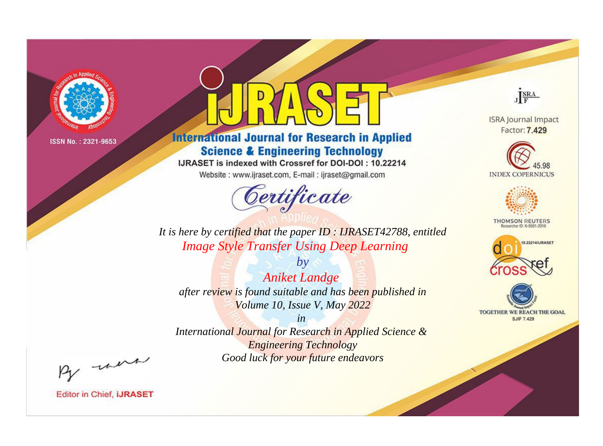

# **International Journal for Research in Applied Science & Engineering Technology**

IJRASET is indexed with Crossref for DOI-DOI: 10.22214

Website: www.ijraset.com, E-mail: ijraset@gmail.com



JERA **ISRA Journal Impact** 

Factor: 7.429





**THOMSON REUTERS** 



TOGETHER WE REACH THE GOAL **SJIF 7.429** 

It is here by certified that the paper ID: IJRASET42788, entitled **Image Style Transfer Using Deep Learning** 

 $b\nu$ **Aniket Landge** after review is found suitable and has been published in Volume 10, Issue V, May 2022

 $in$ International Journal for Research in Applied Science & **Engineering Technology** Good luck for your future endeavors

By morn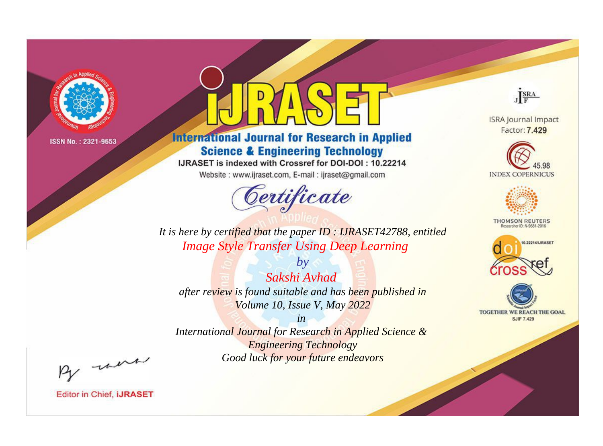

# **International Journal for Research in Applied Science & Engineering Technology**

IJRASET is indexed with Crossref for DOI-DOI: 10.22214

Website: www.ijraset.com, E-mail: ijraset@gmail.com



**ISRA Journal Impact** Factor: 7.429

JERA

**INDEX COPERNICUS** 



**THOMSON REUTERS** 



TOGETHER WE REACH THE GOAL **SJIF 7.429** 

*It is here by certified that the paper ID : IJRASET42788, entitled Image Style Transfer Using Deep Learning*

*by Sakshi Avhad after review is found suitable and has been published in Volume 10, Issue V, May 2022*

*in* 

*International Journal for Research in Applied Science & Engineering Technology Good luck for your future endeavors*

By morn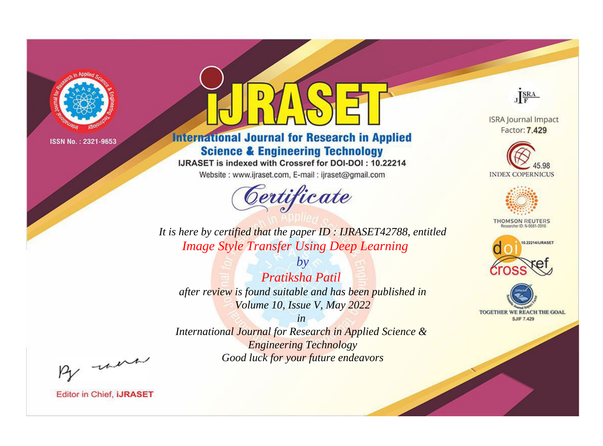

# **International Journal for Research in Applied Science & Engineering Technology**

IJRASET is indexed with Crossref for DOI-DOI: 10.22214

Website: www.ijraset.com, E-mail: ijraset@gmail.com



**ISRA Journal Impact** 

JERA

Factor: 7.429





**THOMSON REUTERS** 



TOGETHER WE REACH THE GOAL **SJIF 7.429** 

*It is here by certified that the paper ID : IJRASET42788, entitled Image Style Transfer Using Deep Learning*

*by Pratiksha Patil after review is found suitable and has been published in Volume 10, Issue V, May 2022*

*in* 

*International Journal for Research in Applied Science & Engineering Technology Good luck for your future endeavors*

By morn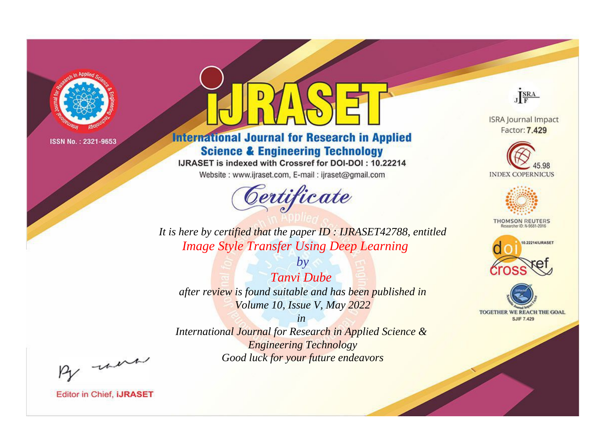

# **International Journal for Research in Applied Science & Engineering Technology**

IJRASET is indexed with Crossref for DOI-DOI: 10.22214

Website: www.ijraset.com, E-mail: ijraset@gmail.com



JERA **ISRA Journal Impact** 

Factor: 7.429





**THOMSON REUTERS** 



TOGETHER WE REACH THE GOAL **SJIF 7.429** 

*It is here by certified that the paper ID : IJRASET42788, entitled Image Style Transfer Using Deep Learning*

*by Tanvi Dube after review is found suitable and has been published in Volume 10, Issue V, May 2022*

*in* 

*International Journal for Research in Applied Science & Engineering Technology Good luck for your future endeavors*

By morn